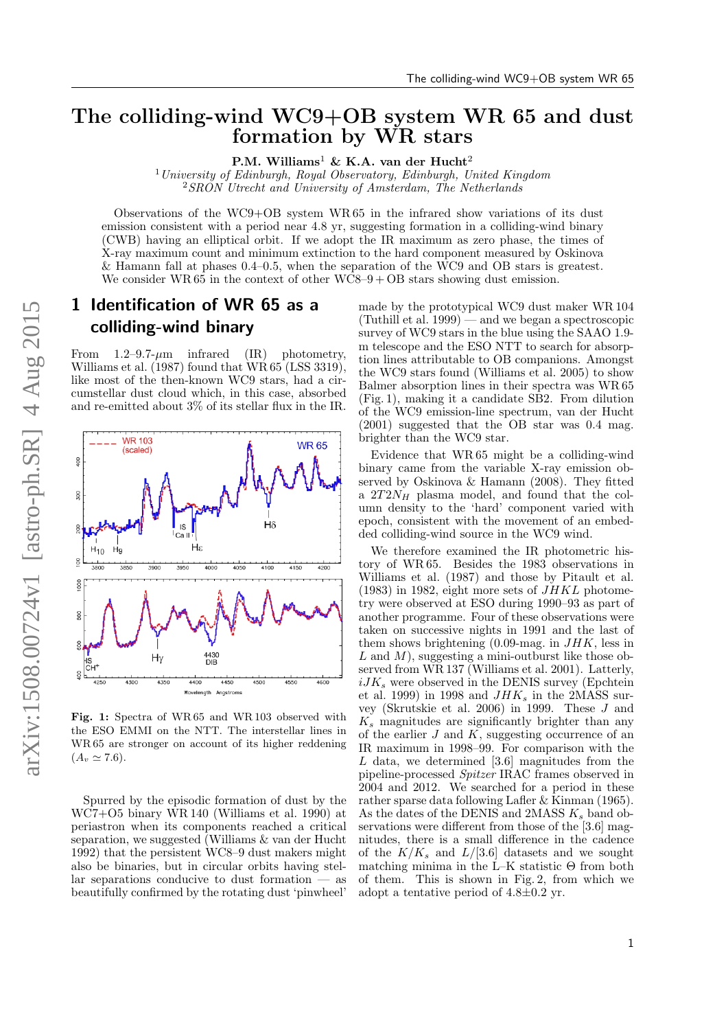## The colliding-wind WC9+OB system WR 65 and dust formation by WR stars

P.M. Williams<sup>1</sup> & K.A. van der Hucht<sup>2</sup>

<sup>1</sup> University of Edinburgh, Royal Observatory, Edinburgh, United Kingdom <sup>2</sup>SRON Utrecht and University of Amsterdam, The Netherlands

Observations of the WC9+OB system WR 65 in the infrared show variations of its dust emission consistent with a period near 4.8 yr, suggesting formation in a colliding-wind binary (CWB) having an elliptical orbit. If we adopt the IR maximum as zero phase, the times of X-ray maximum count and minimum extinction to the hard component measured by Oskinova & Hamann fall at phases 0.4–0.5, when the separation of the WC9 and OB stars is greatest. We consider WR  $65$  in the context of other WC8–9 + OB stars showing dust emission.

## 1 Identification of WR 65 as a colliding-wind binary

From  $1.2-9.7- \mu m$  infrared (IR) photometry, [Williams et al.](#page-2-0)  $(1987)$  found that WR 65 (LSS 3319), like most of the then-known WC9 stars, had a circumstellar dust cloud which, in this case, absorbed and re-emitted about 3% of its stellar flux in the IR.

<span id="page-0-0"></span>

Fig. 1: Spectra of WR 65 and WR 103 observed with the ESO EMMI on the NTT. The interstellar lines in WR 65 are stronger on account of its higher reddening  $(A_v \simeq 7.6).$ 

Spurred by the episodic formation of dust by the WC7+O5 binary WR 140 [\(Williams et al.](#page-2-1) [1990\)](#page-2-1) at periastron when its components reached a critical separation, we suggested [\(Williams & van der Hucht](#page-2-2) [1992\)](#page-2-2) that the persistent WC8–9 dust makers might also be binaries, but in circular orbits having stellar separations conducive to dust formation — as beautifully confirmed by the rotating dust 'pinwheel'

made by the prototypical WC9 dust maker WR 104 [\(Tuthill et al.](#page-2-3) [1999\)](#page-2-3) — and we began a spectroscopic survey of WC9 stars in the blue using the SAAO 1.9m telescope and the ESO NTT to search for absorption lines attributable to OB companions. Amongst the WC9 stars found [\(Williams et al.](#page-2-4) [2005\)](#page-2-4) to show Balmer absorption lines in their spectra was WR 65 (Fig. [1\)](#page-0-0), making it a candidate SB2. From dilution of the WC9 emission-line spectrum, [van der Hucht](#page-2-5) [\(2001\)](#page-2-5) suggested that the OB star was 0.4 mag. brighter than the WC9 star.

Evidence that WR 65 might be a colliding-wind binary came from the variable X-ray emission observed by [Oskinova & Hamann](#page-2-6) [\(2008\)](#page-2-6). They fitted a  $2T2N_H$  plasma model, and found that the column density to the 'hard' component varied with epoch, consistent with the movement of an embedded colliding-wind source in the WC9 wind.

We therefore examined the IR photometric history of WR 65. Besides the 1983 observations in [Williams et al.](#page-2-0) [\(1987\)](#page-2-0) and those by [Pitault et al.](#page-2-7)  $(1983)$  in 1982, eight more sets of  $JHKL$  photometry were observed at ESO during 1990–93 as part of another programme. Four of these observations were taken on successive nights in 1991 and the last of them shows brightening  $(0.09 \text{-} \text{mag.} \text{ in } JHK)$ , less in L and  $M$ ), suggesting a mini-outburst like those observed from WR 137 [\(Williams et al.](#page-2-8) [2001\)](#page-2-8). Latterly,  $iJK_s$  were observed in the DENIS survey [\(Epchtein](#page-2-9) [et al.](#page-2-9) [1999\)](#page-2-9) in 1998 and  $JHK_s$  in the 2MASS survey [\(Skrutskie et al.](#page-2-10) [2006\)](#page-2-10) in 1999. These J and  $K_s$  magnitudes are significantly brighter than any of the earlier  $J$  and  $K$ , suggesting occurrence of an IR maximum in 1998–99. For comparison with the  $L$  data, we determined [3.6] magnitudes from the pipeline-processed Spitzer IRAC frames observed in 2004 and 2012. We searched for a period in these rather sparse data following [Lafler & Kinman](#page-2-11) [\(1965\)](#page-2-11). As the dates of the DENIS and  $2MASS K_s$  band observations were different from those of the [3.6] magnitudes, there is a small difference in the cadence of the  $K/K_s$  and  $L/[3.6]$  datasets and we sought matching minima in the  $\bar{L}-K$  statistic  $\Theta$  from both of them. This is shown in Fig. [2,](#page-1-0) from which we adopt a tentative period of  $4.8\pm0.2$  yr.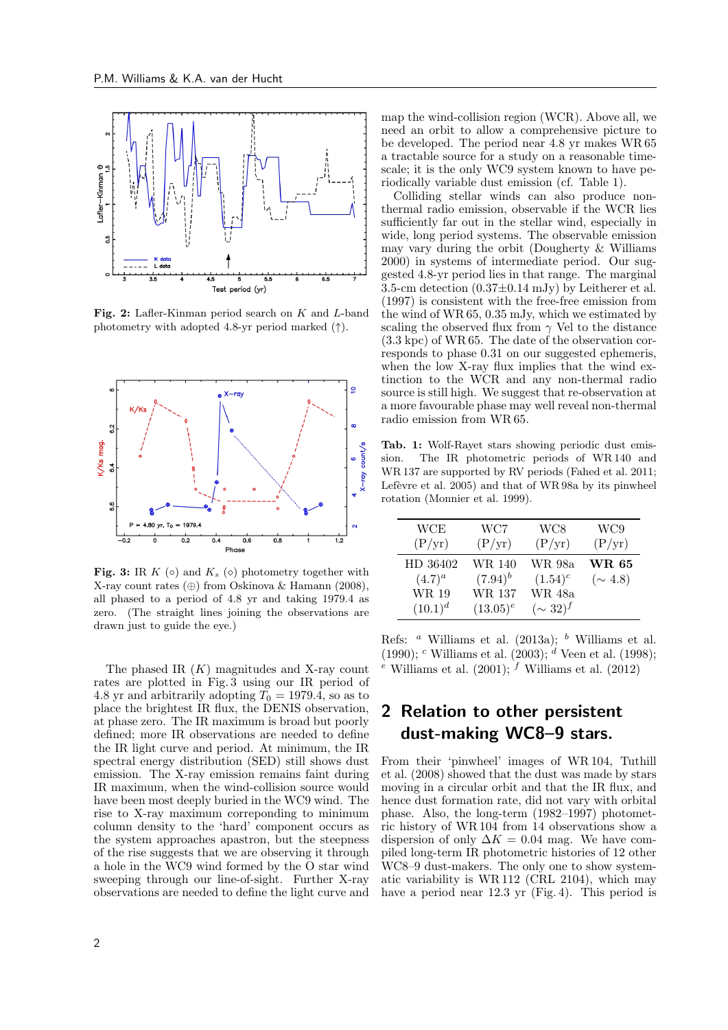<span id="page-1-0"></span>

Fig. 2: Lafler-Kinman period search on K and L-band photometry with adopted 4.8-yr period marked  $(†)$ .

<span id="page-1-1"></span>

Fig. 3: IR K (⊙) and  $K_s$  (◇) photometry together with X-ray count rates (⊕) from [Oskinova & Hamann](#page-2-6) [\(2008\)](#page-2-6), all phased to a period of 4.8 yr and taking 1979.4 as zero. (The straight lines joining the observations are drawn just to guide the eye.)

The phased IR  $(K)$  magnitudes and X-ray count rates are plotted in Fig. [3](#page-1-1) using our IR period of 4.8 yr and arbitrarily adopting  $T_0 = 1979.4$ , so as to place the brightest IR flux, the DENIS observation, at phase zero. The IR maximum is broad but poorly defined; more IR observations are needed to define the IR light curve and period. At minimum, the IR spectral energy distribution (SED) still shows dust emission. The X-ray emission remains faint during IR maximum, when the wind-collision source would have been most deeply buried in the WC9 wind. The rise to X-ray maximum correponding to minimum column density to the 'hard' component occurs as the system approaches apastron, but the steepness of the rise suggests that we are observing it through a hole in the WC9 wind formed by the O star wind sweeping through our line-of-sight. Further X-ray observations are needed to define the light curve and map the wind-collision region (WCR). Above all, we need an orbit to allow a comprehensive picture to be developed. The period near 4.8 yr makes WR 65 a tractable source for a study on a reasonable timescale; it is the only WC9 system known to have periodically variable dust emission (cf. Table [1\)](#page-1-2).

Colliding stellar winds can also produce nonthermal radio emission, observable if the WCR lies sufficiently far out in the stellar wind, especially in wide, long period systems. The observable emission may vary during the orbit [\(Dougherty & Williams](#page-2-12) [2000\)](#page-2-12) in systems of intermediate period. Our suggested 4.8-yr period lies in that range. The marginal 3.5-cm detection  $(0.37\pm0.14 \text{ mJy})$  by [Leitherer et al.](#page-2-13) [\(1997\)](#page-2-13) is consistent with the free-free emission from the wind of WR 65, 0.35 mJy, which we estimated by scaling the observed flux from  $\gamma$  Vel to the distance (3.3 kpc) of WR 65. The date of the observation corresponds to phase 0.31 on our suggested ephemeris, when the low X-ray flux implies that the wind extinction to the WCR and any non-thermal radio source is still high. We suggest that re-observation at a more favourable phase may well reveal non-thermal radio emission from WR 65.

<span id="page-1-2"></span>Tab. 1: Wolf-Rayet stars showing periodic dust emission. The IR photometric periods of WR 140 and WR 137 are supported by RV periods [\(Fahed et al.](#page-2-14) [2011;](#page-2-14) Lefèvre et al.  $2005$ ) and that of WR 98a by its pinwheel rotation [\(Monnier et al.](#page-2-16) [1999\)](#page-2-16).

| <b>WCE</b>   | WC7          | WC8           | WC9            |
|--------------|--------------|---------------|----------------|
| (P/yr)       | (P/yr)       | (P/yr)        | (P/yr)         |
| HD 36402     | WR 140       | WR 98a        | <b>WR 65</b>   |
| $(4.7)^{a}$  | $(7.94)^{b}$ | $(1.54)^c$    | $({\sim 4.8})$ |
| WR 19        | WR 137       | WR 48a        |                |
| $(10.1)^{d}$ | $(13.05)^e$  | $(\sim 32)^f$ |                |

Refs:  $a$  [Williams et al.](#page-2-1) [\(2013a\)](#page-2-17);  $b$  Williams et al. [\(1990\)](#page-2-1);  $c$  [Williams et al.](#page-2-18) [\(2003\)](#page-2-18);  $d$  [Veen et al.](#page-2-19) [\(1998\)](#page-2-19); <sup>e</sup> [Williams et al.](#page-2-20) [\(2001\)](#page-2-8); <sup>f</sup> Williams et al. [\(2012\)](#page-2-20)

## 2 Relation to other persistent dust-making WC8–9 stars.

From their 'pinwheel' images of WR 104, [Tuthill](#page-2-21) [et al.](#page-2-21) [\(2008\)](#page-2-21) showed that the dust was made by stars moving in a circular orbit and that the IR flux, and hence dust formation rate, did not vary with orbital phase. Also, the long-term (1982–1997) photometric history of WR 104 from 14 observations show a dispersion of only  $\Delta K = 0.04$  mag. We have compiled long-term IR photometric histories of 12 other WC8–9 dust-makers. The only one to show systematic variability is WR 112 (CRL 2104), which may have a period near 12.3 yr (Fig. [4\)](#page-2-22). This period is